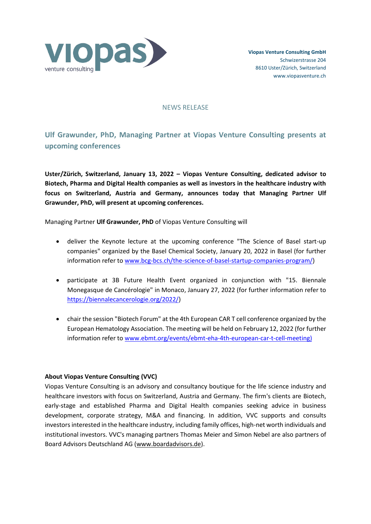

## NEWS RELEASE

## **Ulf Grawunder, PhD, Managing Partner at Viopas Venture Consulting presents at upcoming conferences**

**Uster/Zürich, Switzerland, January 13, 2022 – Viopas Venture Consulting, dedicated advisor to Biotech, Pharma and Digital Health companies as well as investors in the healthcare industry with focus on Switzerland, Austria and Germany, announces today that Managing Partner Ulf Grawunder, PhD, will present at upcoming conferences.**

Managing Partner **Ulf Grawunder, PhD** of Viopas Venture Consulting will

- deliver the Keynote lecture at the upcoming conference "The Science of Basel start-up companies" organized by the Basel Chemical Society, January 20, 2022 in Basel (for further information refer to www.bcg-bcs.ch/the-science-of-basel-startup-companies-program/)
- participate at 3B Future Health Event organized in conjunction with "15. Biennale Monegasque de Cancérologie" in Monaco, January 27, 2022 (for further information refer to https://biennalecancerologie.org/2022/)
- chair the session "Biotech Forum" at the 4th European CAR T cell conference organized by the European Hematology Association. The meeting will be held on February 12, 2022 (for further information refer to www.ebmt.org/events/ebmt-eha-4th-european-car-t-cell-meeting)

## **About Viopas Venture Consulting (VVC)**

Viopas Venture Consulting is an advisory and consultancy boutique for the life science industry and healthcare investors with focus on Switzerland, Austria and Germany. The firm's clients are Biotech, early-stage and established Pharma and Digital Health companies seeking advice in business development, corporate strategy, M&A and financing. In addition, VVC supports and consults investors interested in the healthcare industry, including family offices, high-net worth individuals and institutional investors. VVC's managing partners Thomas Meier and Simon Nebel are also partners of Board Advisors Deutschland AG [\(www.boardadvisors.de\)](http://www.boardadvisors.de/).